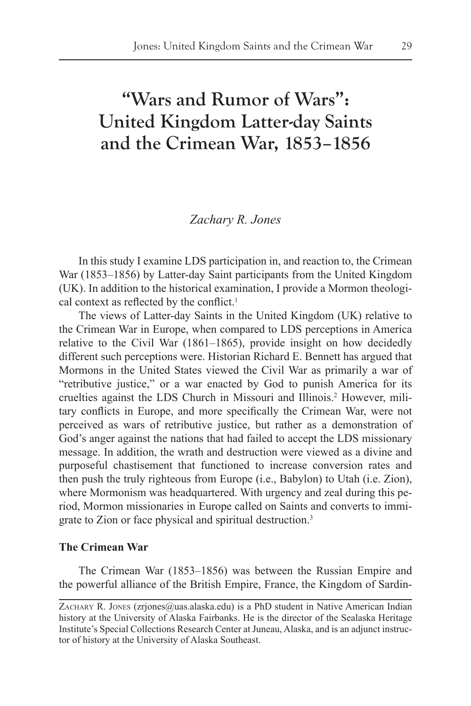# **"Wars and Rumor of Wars": United Kingdom Latter-day Saints and the Crimean War, 1853–1856**

# *Zachary R. Jones*

In this study I examine LDS participation in, and reaction to, the Crimean War (1853–1856) by Latter-day Saint participants from the United Kingdom (UK). In addition to the historical examination, I provide a Mormon theological context as reflected by the conflict.<sup>1</sup>

The views of Latter-day Saints in the United Kingdom (UK) relative to the Crimean War in Europe, when compared to LDS perceptions in America relative to the Civil War (1861–1865), provide insight on how decidedly different such perceptions were. Historian Richard E. Bennett has argued that Mormons in the United States viewed the Civil War as primarily a war of "retributive justice," or a war enacted by God to punish America for its cruelties against the LDS Church in Missouri and Illinois.<sup>2</sup> However, military conflicts in Europe, and more specifically the Crimean War, were not perceived as wars of retributive justice, but rather as a demonstration of God's anger against the nations that had failed to accept the LDS missionary message. In addition, the wrath and destruction were viewed as a divine and purposeful chastisement that functioned to increase conversion rates and then push the truly righteous from Europe (i.e., Babylon) to Utah (i.e. Zion), where Mormonism was headquartered. With urgency and zeal during this period, Mormon missionaries in Europe called on Saints and converts to immigrate to Zion or face physical and spiritual destruction.3

# **The Crimean War**

The Crimean War (1853–1856) was between the Russian Empire and the powerful alliance of the British Empire, France, the Kingdom of Sardin-

ZACHARY R. JONES (zrjones@uas.alaska.edu) is a PhD student in Native American Indian history at the University of Alaska Fairbanks. He is the director of the Sealaska Heritage Institute's Special Collections Research Center at Juneau, Alaska, and is an adjunct instructor of history at the University of Alaska Southeast.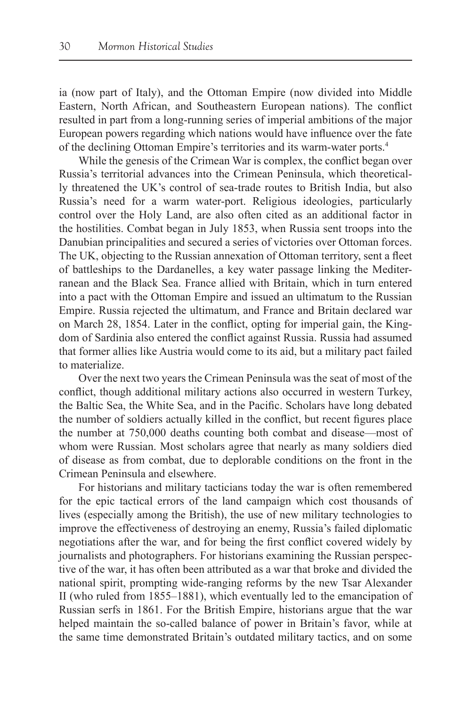ia (now part of Italy), and the Ottoman Empire (now divided into Middle Eastern, North African, and Southeastern European nations). The conflict resulted in part from a long-running series of imperial ambitions of the major European powers regarding which nations would have influence over the fate of the declining Ottoman Empire's territories and its warm-water ports.4

While the genesis of the Crimean War is complex, the conflict began over Russia's territorial advances into the Crimean Peninsula, which theoretically threatened the UK's control of sea-trade routes to British India, but also Russia's need for a warm water-port. Religious ideologies, particularly control over the Holy Land, are also often cited as an additional factor in the hostilities. Combat began in July 1853, when Russia sent troops into the Danubian principalities and secured a series of victories over Ottoman forces. The UK, objecting to the Russian annexation of Ottoman territory, sent a fleet of battleships to the Dardanelles, a key water passage linking the Mediterranean and the Black Sea. France allied with Britain, which in turn entered into a pact with the Ottoman Empire and issued an ultimatum to the Russian Empire. Russia rejected the ultimatum, and France and Britain declared war on March 28, 1854. Later in the conflict, opting for imperial gain, the Kingdom of Sardinia also entered the conflict against Russia. Russia had assumed that former allies like Austria would come to its aid, but a military pact failed to materialize.

Over the next two years the Crimean Peninsula was the seat of most of the conflict, though additional military actions also occurred in western Turkey, the Baltic Sea, the White Sea, and in the Pacific. Scholars have long debated the number of soldiers actually killed in the conflict, but recent figures place the number at 750,000 deaths counting both combat and disease—most of whom were Russian. Most scholars agree that nearly as many soldiers died of disease as from combat, due to deplorable conditions on the front in the Crimean Peninsula and elsewhere.

For historians and military tacticians today the war is often remembered for the epic tactical errors of the land campaign which cost thousands of lives (especially among the British), the use of new military technologies to improve the effectiveness of destroying an enemy, Russia's failed diplomatic negotiations after the war, and for being the first conflict covered widely by journalists and photographers. For historians examining the Russian perspective of the war, it has often been attributed as a war that broke and divided the national spirit, prompting wide-ranging reforms by the new Tsar Alexander II (who ruled from 1855–1881), which eventually led to the emancipation of Russian serfs in 1861. For the British Empire, historians argue that the war helped maintain the so-called balance of power in Britain's favor, while at the same time demonstrated Britain's outdated military tactics, and on some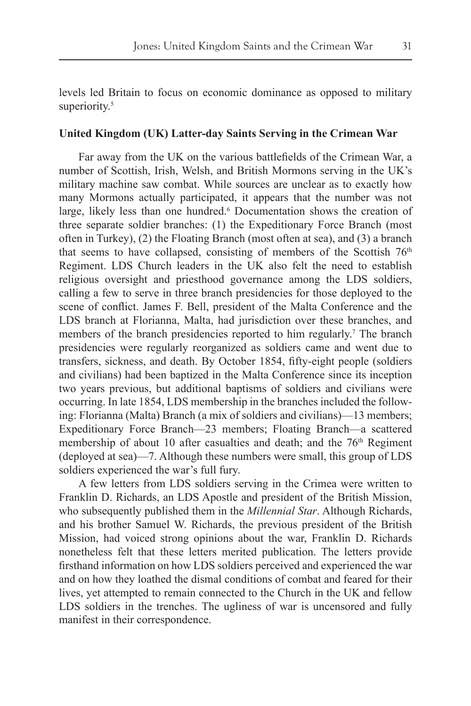levels led Britain to focus on economic dominance as opposed to military superiority.<sup>5</sup>

#### **United Kingdom (UK) Latter-day Saints Serving in the Crimean War**

Far away from the UK on the various battlefields of the Crimean War, a number of Scottish, Irish, Welsh, and British Mormons serving in the UK's military machine saw combat. While sources are unclear as to exactly how many Mormons actually participated, it appears that the number was not large, likely less than one hundred.<sup>6</sup> Documentation shows the creation of three separate soldier branches: (1) the Expeditionary Force Branch (most often in Turkey), (2) the Floating Branch (most often at sea), and (3) a branch that seems to have collapsed, consisting of members of the Scottish 76<sup>th</sup> Regiment. LDS Church leaders in the UK also felt the need to establish religious oversight and priesthood governance among the LDS soldiers, calling a few to serve in three branch presidencies for those deployed to the scene of conflict. James F. Bell, president of the Malta Conference and the LDS branch at Florianna, Malta, had jurisdiction over these branches, and members of the branch presidencies reported to him regularly.<sup>7</sup> The branch presidencies were regularly reorganized as soldiers came and went due to transfers, sickness, and death. By October 1854, fifty-eight people (soldiers and civilians) had been baptized in the Malta Conference since its inception two years previous, but additional baptisms of soldiers and civilians were occurring. In late 1854, LDS membership in the branches included the following: Florianna (Malta) Branch (a mix of soldiers and civilians)—13 members; Expeditionary Force Branch—23 members; Floating Branch—a scattered membership of about 10 after casualties and death; and the  $76<sup>th</sup>$  Regiment (deployed at sea)—7. Although these numbers were small, this group of LDS soldiers experienced the war's full fury.

A few letters from LDS soldiers serving in the Crimea were written to Franklin D. Richards, an LDS Apostle and president of the British Mission, who subsequently published them in the *Millennial Star*. Although Richards, and his brother Samuel W. Richards, the previous president of the British Mission, had voiced strong opinions about the war, Franklin D. Richards nonetheless felt that these letters merited publication. The letters provide firsthand information on how LDS soldiers perceived and experienced the war and on how they loathed the dismal conditions of combat and feared for their lives, yet attempted to remain connected to the Church in the UK and fellow LDS soldiers in the trenches. The ugliness of war is uncensored and fully manifest in their correspondence.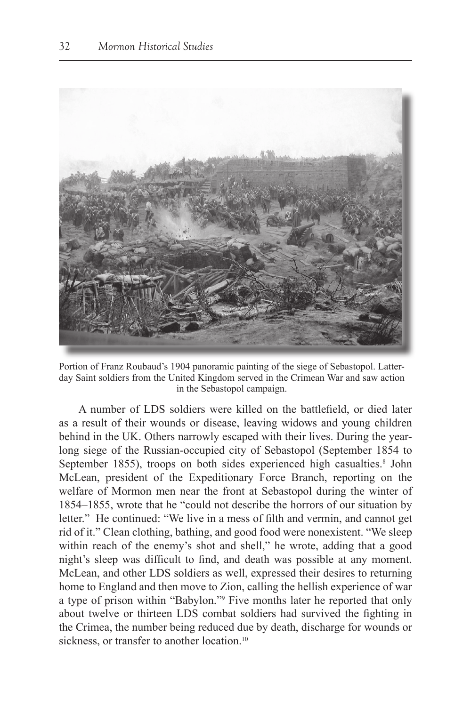

Portion of Franz Roubaud's 1904 panoramic painting of the siege of Sebastopol. Latterday Saint soldiers from the United Kingdom served in the Crimean War and saw action in the Sebastopol campaign.

A number of LDS soldiers were killed on the battlefield, or died later as a result of their wounds or disease, leaving widows and young children behind in the UK. Others narrowly escaped with their lives. During the yearlong siege of the Russian-occupied city of Sebastopol (September 1854 to September 1855), troops on both sides experienced high casualties.<sup>8</sup> John McLean, president of the Expeditionary Force Branch, reporting on the welfare of Mormon men near the front at Sebastopol during the winter of 1854–1855, wrote that he "could not describe the horrors of our situation by letter." He continued: "We live in a mess of filth and vermin, and cannot get rid of it." Clean clothing, bathing, and good food were nonexistent. "We sleep within reach of the enemy's shot and shell," he wrote, adding that a good night's sleep was difficult to find, and death was possible at any moment. McLean, and other LDS soldiers as well, expressed their desires to returning home to England and then move to Zion, calling the hellish experience of war a type of prison within "Babylon."9 Five months later he reported that only about twelve or thirteen LDS combat soldiers had survived the fighting in the Crimea, the number being reduced due by death, discharge for wounds or sickness, or transfer to another location.<sup>10</sup>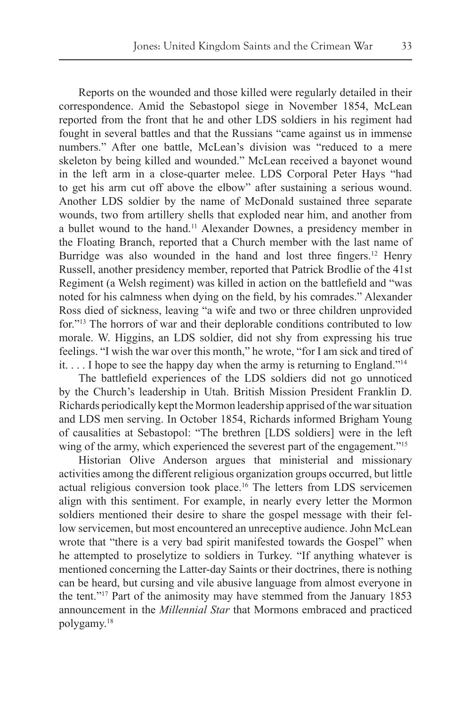Reports on the wounded and those killed were regularly detailed in their correspondence. Amid the Sebastopol siege in November 1854, McLean reported from the front that he and other LDS soldiers in his regiment had fought in several battles and that the Russians "came against us in immense numbers." After one battle, McLean's division was "reduced to a mere skeleton by being killed and wounded." McLean received a bayonet wound in the left arm in a close-quarter melee. LDS Corporal Peter Hays "had to get his arm cut off above the elbow" after sustaining a serious wound. Another LDS soldier by the name of McDonald sustained three separate wounds, two from artillery shells that exploded near him, and another from a bullet wound to the hand.11 Alexander Downes, a presidency member in the Floating Branch, reported that a Church member with the last name of Burridge was also wounded in the hand and lost three fingers.<sup>12</sup> Henry Russell, another presidency member, reported that Patrick Brodlie of the 41st Regiment (a Welsh regiment) was killed in action on the battlefield and "was noted for his calmness when dying on the field, by his comrades." Alexander Ross died of sickness, leaving "a wife and two or three children unprovided for."13 The horrors of war and their deplorable conditions contributed to low morale. W. Higgins, an LDS soldier, did not shy from expressing his true feelings. "I wish the war over this month," he wrote, "for I am sick and tired of it. . . . I hope to see the happy day when the army is returning to England."14

The battlefield experiences of the LDS soldiers did not go unnoticed by the Church's leadership in Utah. British Mission President Franklin D. Richards periodically kept the Mormon leadership apprised of the war situation and LDS men serving. In October 1854, Richards informed Brigham Young of causalities at Sebastopol: "The brethren [LDS soldiers] were in the left wing of the army, which experienced the severest part of the engagement."<sup>15</sup>

Historian Olive Anderson argues that ministerial and missionary activities among the different religious organization groups occurred, but little actual religious conversion took place.16 The letters from LDS servicemen align with this sentiment. For example, in nearly every letter the Mormon soldiers mentioned their desire to share the gospel message with their fellow servicemen, but most encountered an unreceptive audience. John McLean wrote that "there is a very bad spirit manifested towards the Gospel" when he attempted to proselytize to soldiers in Turkey. "If anything whatever is mentioned concerning the Latter-day Saints or their doctrines, there is nothing can be heard, but cursing and vile abusive language from almost everyone in the tent."17 Part of the animosity may have stemmed from the January 1853 announcement in the *Millennial Star* that Mormons embraced and practiced polygamy.18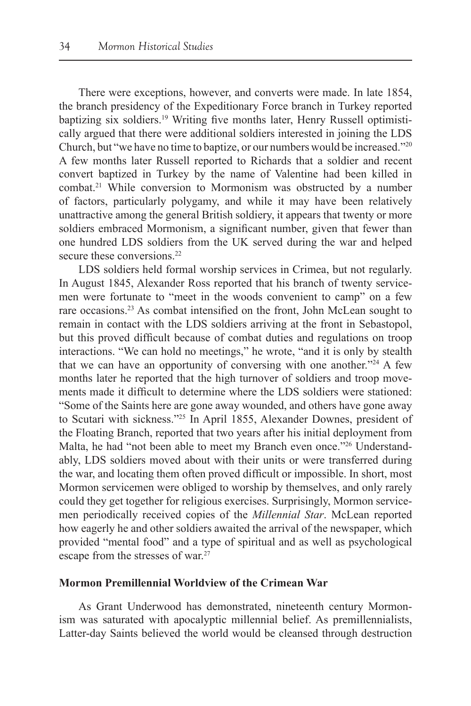There were exceptions, however, and converts were made. In late 1854, the branch presidency of the Expeditionary Force branch in Turkey reported baptizing six soldiers.19 Writing five months later, Henry Russell optimistically argued that there were additional soldiers interested in joining the LDS Church, but "we have no time to baptize, or our numbers would be increased."20 A few months later Russell reported to Richards that a soldier and recent convert baptized in Turkey by the name of Valentine had been killed in combat.21 While conversion to Mormonism was obstructed by a number of factors, particularly polygamy, and while it may have been relatively unattractive among the general British soldiery, it appears that twenty or more soldiers embraced Mormonism, a significant number, given that fewer than one hundred LDS soldiers from the UK served during the war and helped secure these conversions.<sup>22</sup>

LDS soldiers held formal worship services in Crimea, but not regularly. In August 1845, Alexander Ross reported that his branch of twenty servicemen were fortunate to "meet in the woods convenient to camp" on a few rare occasions.<sup>23</sup> As combat intensified on the front, John McLean sought to remain in contact with the LDS soldiers arriving at the front in Sebastopol, but this proved difficult because of combat duties and regulations on troop interactions. "We can hold no meetings," he wrote, "and it is only by stealth that we can have an opportunity of conversing with one another."24 A few months later he reported that the high turnover of soldiers and troop movements made it difficult to determine where the LDS soldiers were stationed: "Some of the Saints here are gone away wounded, and others have gone away to Scutari with sickness."25 In April 1855, Alexander Downes, president of the Floating Branch, reported that two years after his initial deployment from Malta, he had "not been able to meet my Branch even once."<sup>26</sup> Understandably, LDS soldiers moved about with their units or were transferred during the war, and locating them often proved difficult or impossible. In short, most Mormon servicemen were obliged to worship by themselves, and only rarely could they get together for religious exercises. Surprisingly, Mormon servicemen periodically received copies of the *Millennial Star*. McLean reported how eagerly he and other soldiers awaited the arrival of the newspaper, which provided "mental food" and a type of spiritual and as well as psychological escape from the stresses of war.<sup>27</sup>

### **Mormon Premillennial Worldview of the Crimean War**

As Grant Underwood has demonstrated, nineteenth century Mormonism was saturated with apocalyptic millennial belief. As premillennialists, Latter-day Saints believed the world would be cleansed through destruction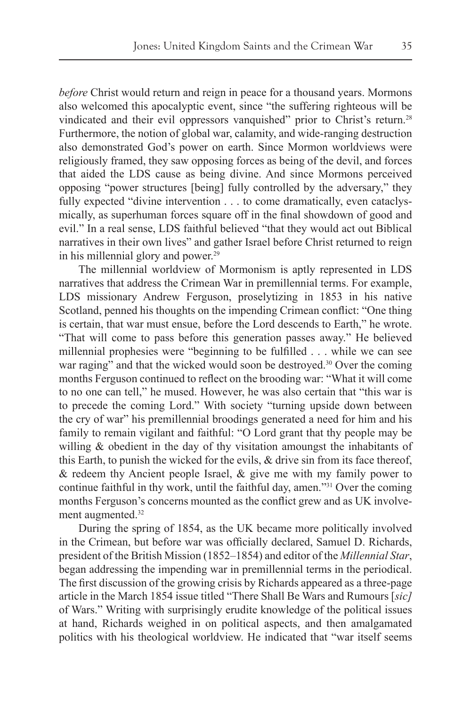*before* Christ would return and reign in peace for a thousand years. Mormons also welcomed this apocalyptic event, since "the suffering righteous will be vindicated and their evil oppressors vanquished" prior to Christ's return.<sup>28</sup> Furthermore, the notion of global war, calamity, and wide-ranging destruction also demonstrated God's power on earth. Since Mormon worldviews were religiously framed, they saw opposing forces as being of the devil, and forces that aided the LDS cause as being divine. And since Mormons perceived opposing "power structures [being] fully controlled by the adversary," they fully expected "divine intervention . . . to come dramatically, even cataclysmically, as superhuman forces square off in the final showdown of good and evil." In a real sense, LDS faithful believed "that they would act out Biblical narratives in their own lives" and gather Israel before Christ returned to reign in his millennial glory and power.29

The millennial worldview of Mormonism is aptly represented in LDS narratives that address the Crimean War in premillennial terms. For example, LDS missionary Andrew Ferguson, proselytizing in 1853 in his native Scotland, penned his thoughts on the impending Crimean conflict: "One thing is certain, that war must ensue, before the Lord descends to Earth," he wrote. "That will come to pass before this generation passes away." He believed millennial prophesies were "beginning to be fulfilled . . . while we can see war raging" and that the wicked would soon be destroyed.<sup>30</sup> Over the coming months Ferguson continued to reflect on the brooding war: "What it will come to no one can tell," he mused. However, he was also certain that "this war is to precede the coming Lord." With society "turning upside down between the cry of war" his premillennial broodings generated a need for him and his family to remain vigilant and faithful: "O Lord grant that thy people may be willing & obedient in the day of thy visitation amoungst the inhabitants of this Earth, to punish the wicked for the evils, & drive sin from its face thereof, & redeem thy Ancient people Israel, & give me with my family power to continue faithful in thy work, until the faithful day, amen."31 Over the coming months Ferguson's concerns mounted as the conflict grew and as UK involvement augmented.<sup>32</sup>

During the spring of 1854, as the UK became more politically involved in the Crimean, but before war was officially declared, Samuel D. Richards, president of the British Mission (1852–1854) and editor of the *Millennial Star*, began addressing the impending war in premillennial terms in the periodical. The first discussion of the growing crisis by Richards appeared as a three-page article in the March 1854 issue titled "There Shall Be Wars and Rumours [*sic]* of Wars." Writing with surprisingly erudite knowledge of the political issues at hand, Richards weighed in on political aspects, and then amalgamated politics with his theological worldview. He indicated that "war itself seems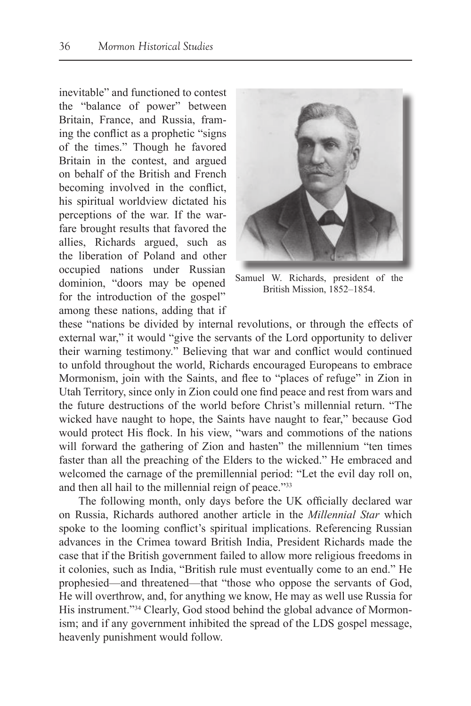inevitable" and functioned to contest the "balance of power" between Britain, France, and Russia, framing the conflict as a prophetic "signs of the times." Though he favored Britain in the contest, and argued on behalf of the British and French becoming involved in the conflict, his spiritual worldview dictated his perceptions of the war. If the warfare brought results that favored the allies, Richards argued, such as the liberation of Poland and other occupied nations under Russian dominion, "doors may be opened for the introduction of the gospel" among these nations, adding that if



Samuel W. Richards, president of the British Mission, 1852–1854.

these "nations be divided by internal revolutions, or through the effects of external war," it would "give the servants of the Lord opportunity to deliver their warning testimony." Believing that war and conflict would continued to unfold throughout the world, Richards encouraged Europeans to embrace Mormonism, join with the Saints, and flee to "places of refuge" in Zion in Utah Territory, since only in Zion could one find peace and rest from wars and the future destructions of the world before Christ's millennial return. "The wicked have naught to hope, the Saints have naught to fear," because God would protect His flock. In his view, "wars and commotions of the nations will forward the gathering of Zion and hasten" the millennium "ten times faster than all the preaching of the Elders to the wicked." He embraced and welcomed the carnage of the premillennial period: "Let the evil day roll on, and then all hail to the millennial reign of peace."33

The following month, only days before the UK officially declared war on Russia, Richards authored another article in the *Millennial Star* which spoke to the looming conflict's spiritual implications. Referencing Russian advances in the Crimea toward British India, President Richards made the case that if the British government failed to allow more religious freedoms in it colonies, such as India, "British rule must eventually come to an end." He prophesied—and threatened—that "those who oppose the servants of God, He will overthrow, and, for anything we know, He may as well use Russia for His instrument."<sup>34</sup> Clearly, God stood behind the global advance of Mormonism; and if any government inhibited the spread of the LDS gospel message, heavenly punishment would follow.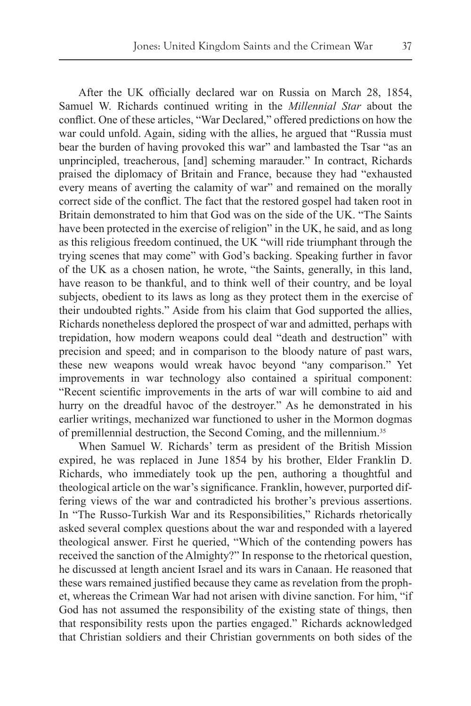After the UK officially declared war on Russia on March 28, 1854, Samuel W. Richards continued writing in the *Millennial Star* about the conflict. One of these articles, "War Declared," offered predictions on how the war could unfold. Again, siding with the allies, he argued that "Russia must bear the burden of having provoked this war" and lambasted the Tsar "as an unprincipled, treacherous, [and] scheming marauder." In contract, Richards praised the diplomacy of Britain and France, because they had "exhausted every means of averting the calamity of war" and remained on the morally correct side of the conflict. The fact that the restored gospel had taken root in Britain demonstrated to him that God was on the side of the UK. "The Saints have been protected in the exercise of religion" in the UK, he said, and as long as this religious freedom continued, the UK "will ride triumphant through the trying scenes that may come" with God's backing. Speaking further in favor of the UK as a chosen nation, he wrote, "the Saints, generally, in this land, have reason to be thankful, and to think well of their country, and be loyal subjects, obedient to its laws as long as they protect them in the exercise of their undoubted rights." Aside from his claim that God supported the allies, Richards nonetheless deplored the prospect of war and admitted, perhaps with trepidation, how modern weapons could deal "death and destruction" with precision and speed; and in comparison to the bloody nature of past wars, these new weapons would wreak havoc beyond "any comparison." Yet improvements in war technology also contained a spiritual component: "Recent scientific improvements in the arts of war will combine to aid and hurry on the dreadful havoc of the destroyer." As he demonstrated in his earlier writings, mechanized war functioned to usher in the Mormon dogmas of premillennial destruction, the Second Coming, and the millennium.35

When Samuel W. Richards' term as president of the British Mission expired, he was replaced in June 1854 by his brother, Elder Franklin D. Richards, who immediately took up the pen, authoring a thoughtful and theological article on the war's significance. Franklin, however, purported differing views of the war and contradicted his brother's previous assertions. In "The Russo-Turkish War and its Responsibilities," Richards rhetorically asked several complex questions about the war and responded with a layered theological answer. First he queried, "Which of the contending powers has received the sanction of the Almighty?" In response to the rhetorical question, he discussed at length ancient Israel and its wars in Canaan. He reasoned that these wars remained justified because they came as revelation from the prophet, whereas the Crimean War had not arisen with divine sanction. For him, "if God has not assumed the responsibility of the existing state of things, then that responsibility rests upon the parties engaged." Richards acknowledged that Christian soldiers and their Christian governments on both sides of the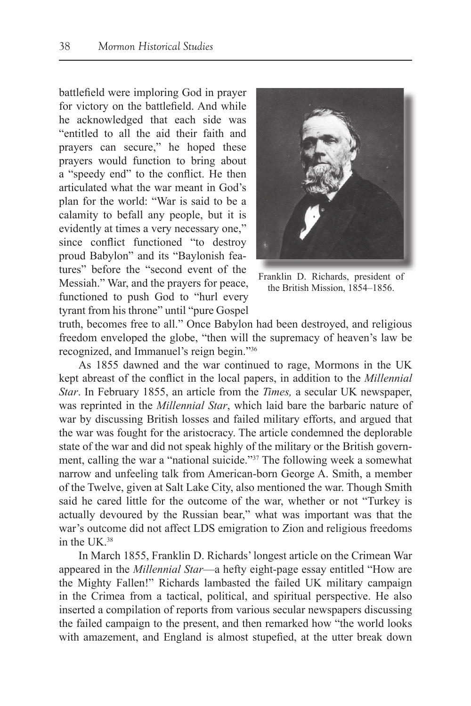battlefield were imploring God in prayer for victory on the battlefield. And while he acknowledged that each side was "entitled to all the aid their faith and prayers can secure," he hoped these prayers would function to bring about a "speedy end" to the conflict. He then articulated what the war meant in God's plan for the world: "War is said to be a calamity to befall any people, but it is evidently at times a very necessary one," since conflict functioned "to destroy proud Babylon" and its "Baylonish features" before the "second event of the Messiah." War, and the prayers for peace, functioned to push God to "hurl every tyrant from his throne" until "pure Gospel



Franklin D. Richards, president of the British Mission, 1854–1856.

truth, becomes free to all." Once Babylon had been destroyed, and religious freedom enveloped the globe, "then will the supremacy of heaven's law be recognized, and Immanuel's reign begin."36

As 1855 dawned and the war continued to rage, Mormons in the UK kept abreast of the conflict in the local papers, in addition to the *Millennial Star*. In February 1855, an article from the *Times,* a secular UK newspaper, was reprinted in the *Millennial Star*, which laid bare the barbaric nature of war by discussing British losses and failed military efforts, and argued that the war was fought for the aristocracy. The article condemned the deplorable state of the war and did not speak highly of the military or the British government, calling the war a "national suicide."37 The following week a somewhat narrow and unfeeling talk from American-born George A. Smith, a member of the Twelve, given at Salt Lake City, also mentioned the war. Though Smith said he cared little for the outcome of the war, whether or not "Turkey is actually devoured by the Russian bear," what was important was that the war's outcome did not affect LDS emigration to Zion and religious freedoms in the UK.38

In March 1855, Franklin D. Richards' longest article on the Crimean War appeared in the *Millennial Star*—a hefty eight-page essay entitled "How are the Mighty Fallen!" Richards lambasted the failed UK military campaign in the Crimea from a tactical, political, and spiritual perspective. He also inserted a compilation of reports from various secular newspapers discussing the failed campaign to the present, and then remarked how "the world looks with amazement, and England is almost stupefied, at the utter break down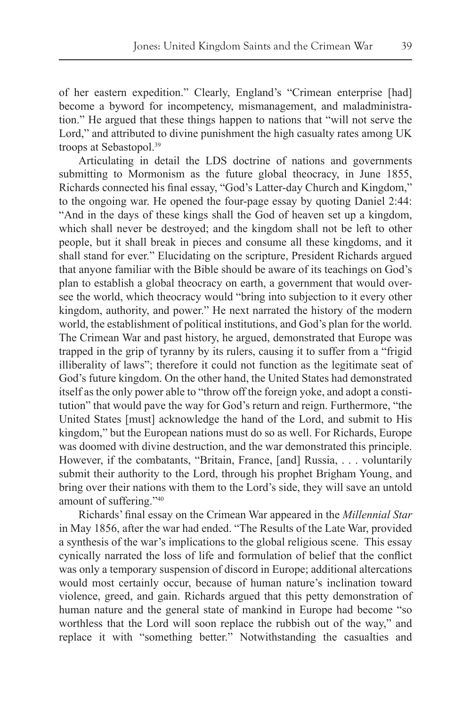of her eastern expedition." Clearly, England's "Crimean enterprise [had] become a byword for incompetency, mismanagement, and maladministration." He argued that these things happen to nations that "will not serve the Lord," and attributed to divine punishment the high casualty rates among UK troops at Sebastopol.<sup>39</sup>

Articulating in detail the LDS doctrine of nations and governments submitting to Mormonism as the future global theocracy, in June 1855, Richards connected his final essay, "God's Latter-day Church and Kingdom," to the ongoing war. He opened the four-page essay by quoting Daniel 2:44: "And in the days of these kings shall the God of heaven set up a kingdom, which shall never be destroyed; and the kingdom shall not be left to other people, but it shall break in pieces and consume all these kingdoms, and it shall stand for ever." Elucidating on the scripture, President Richards argued that anyone familiar with the Bible should be aware of its teachings on God's plan to establish a global theocracy on earth, a government that would oversee the world, which theocracy would "bring into subjection to it every other kingdom, authority, and power." He next narrated the history of the modern world, the establishment of political institutions, and God's plan for the world. The Crimean War and past history, he argued, demonstrated that Europe was trapped in the grip of tyranny by its rulers, causing it to suffer from a "frigid illiberality of laws"; therefore it could not function as the legitimate seat of God's future kingdom. On the other hand, the United States had demonstrated itself as the only power able to "throw off the foreign yoke, and adopt a constitution" that would pave the way for God's return and reign. Furthermore, "the United States [must] acknowledge the hand of the Lord, and submit to His kingdom," but the European nations must do so as well. For Richards, Europe was doomed with divine destruction, and the war demonstrated this principle. However, if the combatants, "Britain, France, [and] Russia, . . . voluntarily submit their authority to the Lord, through his prophet Brigham Young, and bring over their nations with them to the Lord's side, they will save an untold amount of suffering."40

Richards' final essay on the Crimean War appeared in the *Millennial Star* in May 1856, after the war had ended. "The Results of the Late War, provided a synthesis of the war's implications to the global religious scene. This essay cynically narrated the loss of life and formulation of belief that the conflict was only a temporary suspension of discord in Europe; additional altercations would most certainly occur, because of human nature's inclination toward violence, greed, and gain. Richards argued that this petty demonstration of human nature and the general state of mankind in Europe had become "so worthless that the Lord will soon replace the rubbish out of the way," and replace it with "something better." Notwithstanding the casualties and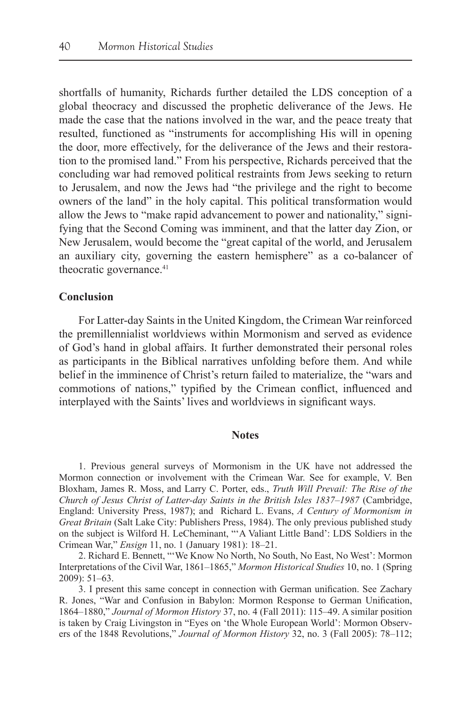shortfalls of humanity, Richards further detailed the LDS conception of a global theocracy and discussed the prophetic deliverance of the Jews. He made the case that the nations involved in the war, and the peace treaty that resulted, functioned as "instruments for accomplishing His will in opening the door, more effectively, for the deliverance of the Jews and their restoration to the promised land." From his perspective, Richards perceived that the concluding war had removed political restraints from Jews seeking to return to Jerusalem, and now the Jews had "the privilege and the right to become owners of the land" in the holy capital. This political transformation would allow the Jews to "make rapid advancement to power and nationality," signifying that the Second Coming was imminent, and that the latter day Zion, or New Jerusalem, would become the "great capital of the world, and Jerusalem an auxiliary city, governing the eastern hemisphere" as a co-balancer of theocratic governance.<sup>41</sup>

# **Conclusion**

For Latter-day Saints in the United Kingdom, the Crimean War reinforced the premillennialist worldviews within Mormonism and served as evidence of God's hand in global affairs. It further demonstrated their personal roles as participants in the Biblical narratives unfolding before them. And while belief in the imminence of Christ's return failed to materialize, the "wars and commotions of nations," typified by the Crimean conflict, influenced and interplayed with the Saints' lives and worldviews in significant ways.

#### **Notes**

1. Previous general surveys of Mormonism in the UK have not addressed the Mormon connection or involvement with the Crimean War. See for example, V. Ben Bloxham, James R. Moss, and Larry C. Porter, eds., *Truth Will Prevail: The Rise of the Church of Jesus Christ of Latter-day Saints in the British Isles 1837–1987* (Cambridge, England: University Press, 1987); and Richard L. Evans, *A Century of Mormonism in Great Britain* (Salt Lake City: Publishers Press, 1984). The only previous published study on the subject is Wilford H. LeCheminant, "'A Valiant Little Band': LDS Soldiers in the Crimean War," *Ensign* 11, no. 1 (January 1981): 18–21.

2. Richard E. Bennett, "'We Know No North, No South, No East, No West': Mormon Interpretations of the Civil War, 1861–1865," *Mormon Historical Studies* 10, no. 1 (Spring 2009): 51–63.

3. I present this same concept in connection with German unification. See Zachary R. Jones, "War and Confusion in Babylon: Mormon Response to German Unification, 1864–1880," *Journal of Mormon History* 37, no. 4 (Fall 2011): 115–49. A similar position is taken by Craig Livingston in "Eyes on 'the Whole European World': Mormon Observers of the 1848 Revolutions," *Journal of Mormon History* 32, no. 3 (Fall 2005): 78–112;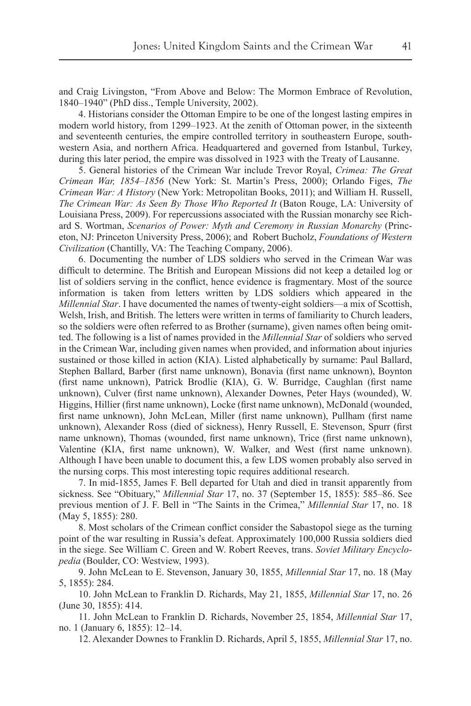and Craig Livingston, "From Above and Below: The Mormon Embrace of Revolution, 1840–1940" (PhD diss., Temple University, 2002).

4. Historians consider the Ottoman Empire to be one of the longest lasting empires in modern world history, from 1299–1923. At the zenith of Ottoman power, in the sixteenth and seventeenth centuries, the empire controlled territory in southeastern Europe, southwestern Asia, and northern Africa. Headquartered and governed from Istanbul, Turkey, during this later period, the empire was dissolved in 1923 with the Treaty of Lausanne.

5. General histories of the Crimean War include Trevor Royal, *Crimea: The Great Crimean War, 1854–1856* (New York: St. Martin's Press, 2000); Orlando Figes, *The Crimean War: A History* (New York: Metropolitan Books, 2011); and William H. Russell, *The Crimean War: As Seen By Those Who Reported It* (Baton Rouge, LA: University of Louisiana Press, 2009). For repercussions associated with the Russian monarchy see Richard S. Wortman, *Scenarios of Power: Myth and Ceremony in Russian Monarchy* (Princeton, NJ: Princeton University Press, 2006); and Robert Bucholz, *Foundations of Western Civilization* (Chantilly, VA: The Teaching Company, 2006).

6. Documenting the number of LDS soldiers who served in the Crimean War was difficult to determine. The British and European Missions did not keep a detailed log or list of soldiers serving in the conflict, hence evidence is fragmentary. Most of the source information is taken from letters written by LDS soldiers which appeared in the *Millennial Star*. I have documented the names of twenty-eight soldiers—a mix of Scottish, Welsh, Irish, and British. The letters were written in terms of familiarity to Church leaders, so the soldiers were often referred to as Brother (surname), given names often being omitted. The following is a list of names provided in the *Millennial Star* of soldiers who served in the Crimean War, including given names when provided, and information about injuries sustained or those killed in action (KIA). Listed alphabetically by surname: Paul Ballard, Stephen Ballard, Barber (first name unknown), Bonavia (first name unknown), Boynton (first name unknown), Patrick Brodlie (KIA), G. W. Burridge, Caughlan (first name unknown), Culver (first name unknown), Alexander Downes, Peter Hays (wounded), W. Higgins, Hillier (first name unknown), Locke (first name unknown), McDonald (wounded, first name unknown), John McLean, Miller (first name unknown), Pullham (first name unknown), Alexander Ross (died of sickness), Henry Russell, E. Stevenson, Spurr (first name unknown), Thomas (wounded, first name unknown), Trice (first name unknown), Valentine (KIA, first name unknown), W. Walker, and West (first name unknown). Although I have been unable to document this, a few LDS women probably also served in the nursing corps. This most interesting topic requires additional research.

7. In mid-1855, James F. Bell departed for Utah and died in transit apparently from sickness. See "Obituary," *Millennial Star* 17, no. 37 (September 15, 1855): 585–86. See previous mention of J. F. Bell in "The Saints in the Crimea," *Millennial Star* 17, no. 18 (May 5, 1855): 280.

8. Most scholars of the Crimean conflict consider the Sabastopol siege as the turning point of the war resulting in Russia's defeat. Approximately 100,000 Russia soldiers died in the siege. See William C. Green and W. Robert Reeves, trans. *Soviet Military Encyclopedia* (Boulder, CO: Westview, 1993).

9. John McLean to E. Stevenson, January 30, 1855, *Millennial Star* 17, no. 18 (May 5, 1855): 284.

10. John McLean to Franklin D. Richards, May 21, 1855, *Millennial Star* 17, no. 26 (June 30, 1855): 414.

11. John McLean to Franklin D. Richards, November 25, 1854, *Millennial Star* 17, no. 1 (January 6, 1855): 12–14.

12. Alexander Downes to Franklin D. Richards, April 5, 1855, *Millennial Star* 17, no.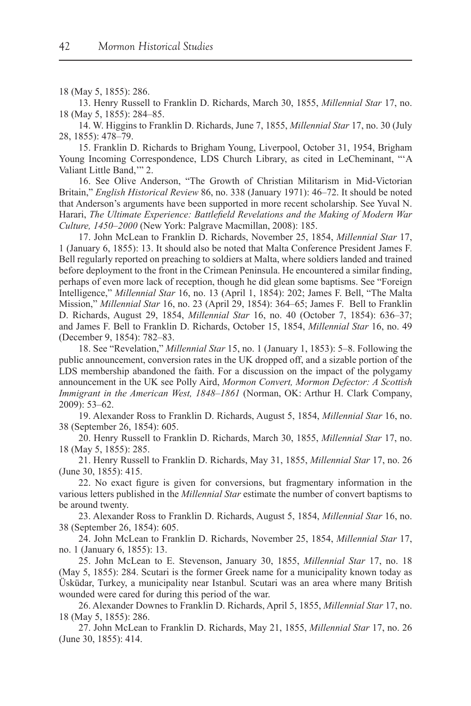#### 18 (May 5, 1855): 286.

13. Henry Russell to Franklin D. Richards, March 30, 1855, *Millennial Star* 17, no. 18 (May 5, 1855): 284–85.

14. W. Higgins to Franklin D. Richards, June 7, 1855, *Millennial Star* 17, no. 30 (July 28, 1855): 478–79.

15. Franklin D. Richards to Brigham Young, Liverpool, October 31, 1954, Brigham Young Incoming Correspondence, LDS Church Library, as cited in LeCheminant, "'A Valiant Little Band,'" 2.

16. See Olive Anderson, "The Growth of Christian Militarism in Mid-Victorian Britain," *English Historical Review* 86, no. 338 (January 1971): 46–72. It should be noted that Anderson's arguments have been supported in more recent scholarship. See Yuval N. Harari, *The Ultimate Experience: Battlefield Revelations and the Making of Modern War Culture, 1450–2000* (New York: Palgrave Macmillan, 2008): 185.

17. John McLean to Franklin D. Richards, November 25, 1854, *Millennial Star* 17, 1 (January 6, 1855): 13. It should also be noted that Malta Conference President James F. Bell regularly reported on preaching to soldiers at Malta, where soldiers landed and trained before deployment to the front in the Crimean Peninsula. He encountered a similar finding, perhaps of even more lack of reception, though he did glean some baptisms. See "Foreign Intelligence," *Millennial Star* 16, no. 13 (April 1, 1854): 202; James F. Bell, "The Malta Mission," *Millennial Star* 16, no. 23 (April 29, 1854): 364–65; James F. Bell to Franklin D. Richards, August 29, 1854, *Millennial Star* 16, no. 40 (October 7, 1854): 636–37; and James F. Bell to Franklin D. Richards, October 15, 1854, *Millennial Star* 16, no. 49 (December 9, 1854): 782–83.

18. See "Revelation," *Millennial Star* 15, no. 1 (January 1, 1853): 5–8. Following the public announcement, conversion rates in the UK dropped off, and a sizable portion of the LDS membership abandoned the faith. For a discussion on the impact of the polygamy announcement in the UK see Polly Aird, *Mormon Convert, Mormon Defector: A Scottish Immigrant in the American West, 1848–1861* (Norman, OK: Arthur H. Clark Company, 2009): 53–62.

19. Alexander Ross to Franklin D. Richards, August 5, 1854, *Millennial Star* 16, no. 38 (September 26, 1854): 605.

20. Henry Russell to Franklin D. Richards, March 30, 1855, *Millennial Star* 17, no. 18 (May 5, 1855): 285.

21. Henry Russell to Franklin D. Richards, May 31, 1855, *Millennial Star* 17, no. 26 (June 30, 1855): 415.

22. No exact figure is given for conversions, but fragmentary information in the various letters published in the *Millennial Star* estimate the number of convert baptisms to be around twenty.

23. Alexander Ross to Franklin D. Richards, August 5, 1854, *Millennial Star* 16, no. 38 (September 26, 1854): 605.

24. John McLean to Franklin D. Richards, November 25, 1854, *Millennial Star* 17, no. 1 (January 6, 1855): 13.

25. John McLean to E. Stevenson, January 30, 1855, *Millennial Star* 17, no. 18 (May 5, 1855): 284. Scutari is the former Greek name for a municipality known today as Üsküdar, Turkey, a municipality near Istanbul. Scutari was an area where many British wounded were cared for during this period of the war.

26. Alexander Downes to Franklin D. Richards, April 5, 1855, *Millennial Star* 17, no. 18 (May 5, 1855): 286.

27. John McLean to Franklin D. Richards, May 21, 1855, *Millennial Star* 17, no. 26 (June 30, 1855): 414.